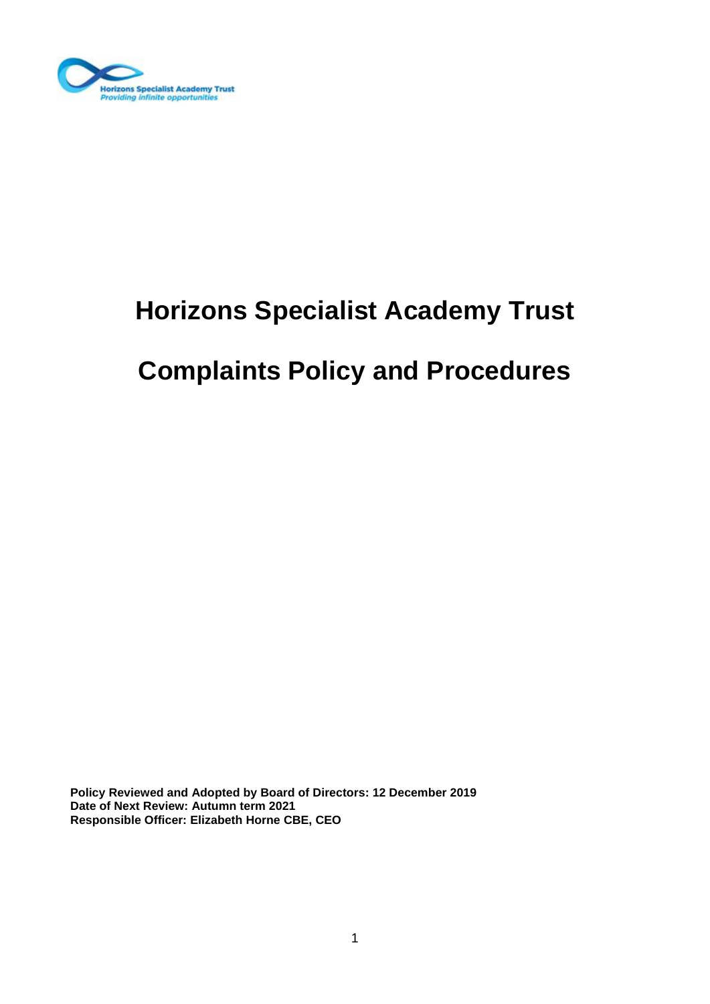

# **Horizons Specialist Academy Trust**

# **Complaints Policy and Procedures**

**Policy Reviewed and Adopted by Board of Directors: 12 December 2019 Date of Next Review: Autumn term 2021 Responsible Officer: Elizabeth Horne CBE, CEO**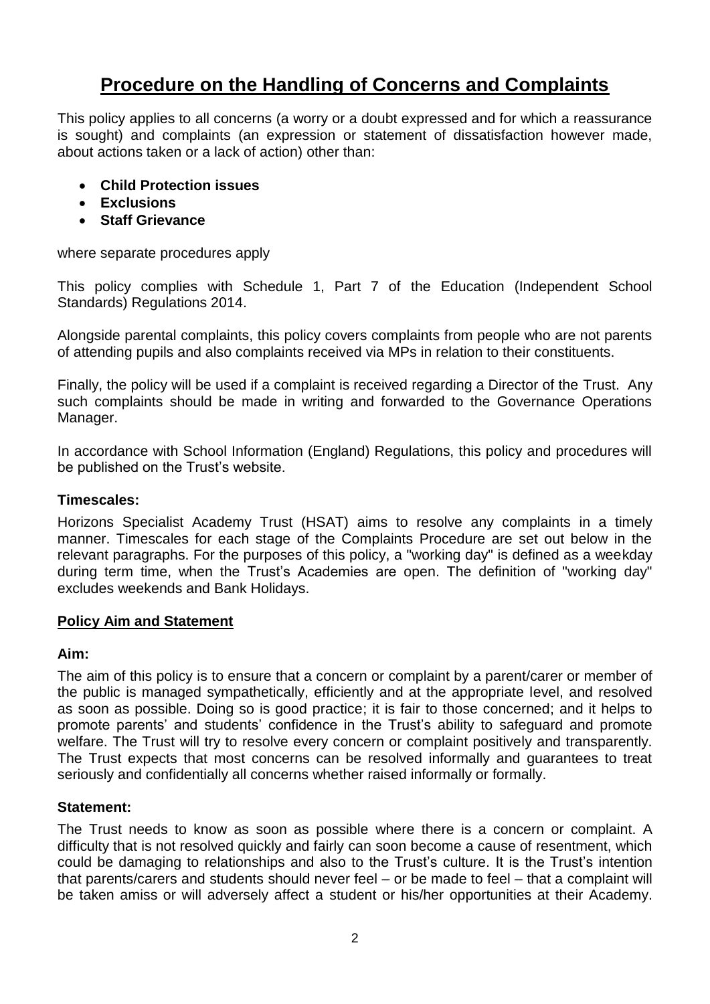# **Procedure on the Handling of Concerns and Complaints**

This policy applies to all concerns (a worry or a doubt expressed and for which a reassurance is sought) and complaints (an expression or statement of dissatisfaction however made, about actions taken or a lack of action) other than:

- **Child Protection issues**
- **Exclusions**
- **Staff Grievance**

where separate procedures apply

This policy complies with Schedule 1, Part 7 of the Education (Independent School Standards) Regulations 2014.

Alongside parental complaints, this policy covers complaints from people who are not parents of attending pupils and also complaints received via MPs in relation to their constituents.

Finally, the policy will be used if a complaint is received regarding a Director of the Trust. Any such complaints should be made in writing and forwarded to the Governance Operations Manager.

In accordance with School Information (England) Regulations, this policy and procedures will be published on the Trust's website.

# **Timescales:**

Horizons Specialist Academy Trust (HSAT) aims to resolve any complaints in a timely manner. Timescales for each stage of the Complaints Procedure are set out below in the relevant paragraphs. For the purposes of this policy, a "working day" is defined as a weekday during term time, when the Trust's Academies are open. The definition of "working day" excludes weekends and Bank Holidays.

# **Policy Aim and Statement**

#### **Aim:**

The aim of this policy is to ensure that a concern or complaint by a parent/carer or member of the public is managed sympathetically, efficiently and at the appropriate level, and resolved as soon as possible. Doing so is good practice; it is fair to those concerned; and it helps to promote parents' and students' confidence in the Trust's ability to safeguard and promote welfare. The Trust will try to resolve every concern or complaint positively and transparently. The Trust expects that most concerns can be resolved informally and guarantees to treat seriously and confidentially all concerns whether raised informally or formally.

# **Statement:**

The Trust needs to know as soon as possible where there is a concern or complaint. A difficulty that is not resolved quickly and fairly can soon become a cause of resentment, which could be damaging to relationships and also to the Trust's culture. It is the Trust's intention that parents/carers and students should never feel – or be made to feel – that a complaint will be taken amiss or will adversely affect a student or his/her opportunities at their Academy.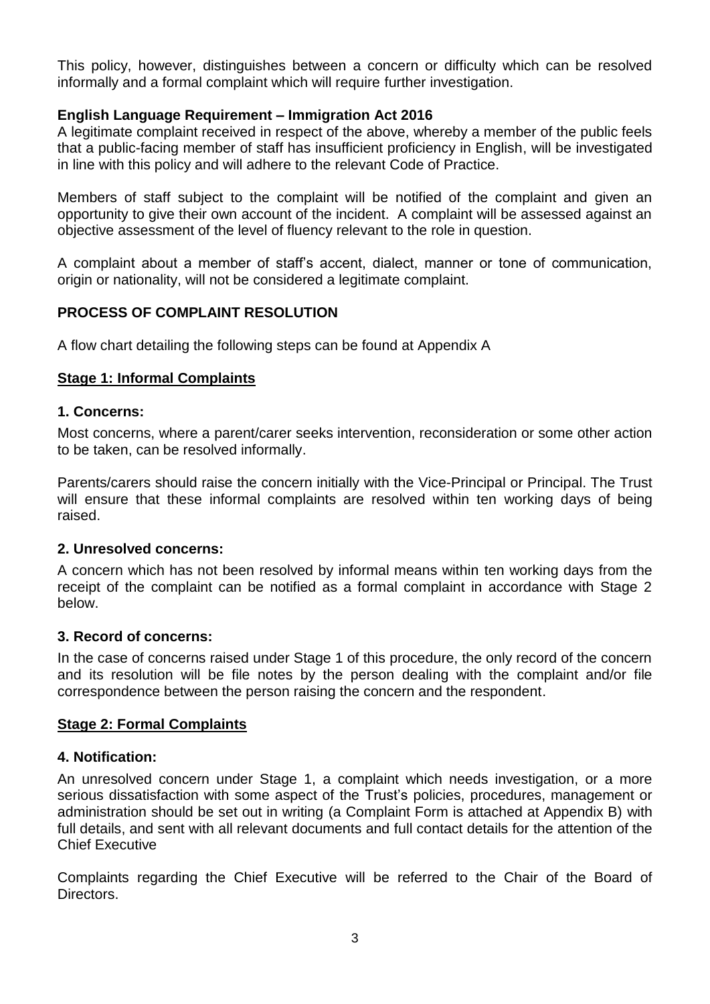This policy, however, distinguishes between a concern or difficulty which can be resolved informally and a formal complaint which will require further investigation.

#### **English Language Requirement – Immigration Act 2016**

A legitimate complaint received in respect of the above, whereby a member of the public feels that a public-facing member of staff has insufficient proficiency in English, will be investigated in line with this policy and will adhere to the relevant Code of Practice.

Members of staff subject to the complaint will be notified of the complaint and given an opportunity to give their own account of the incident. A complaint will be assessed against an objective assessment of the level of fluency relevant to the role in question.

A complaint about a member of staff's accent, dialect, manner or tone of communication, origin or nationality, will not be considered a legitimate complaint.

# **PROCESS OF COMPLAINT RESOLUTION**

A flow chart detailing the following steps can be found at Appendix A

#### **Stage 1: Informal Complaints**

#### **1. Concerns:**

Most concerns, where a parent/carer seeks intervention, reconsideration or some other action to be taken, can be resolved informally.

Parents/carers should raise the concern initially with the Vice-Principal or Principal. The Trust will ensure that these informal complaints are resolved within ten working days of being raised.

#### **2. Unresolved concerns:**

A concern which has not been resolved by informal means within ten working days from the receipt of the complaint can be notified as a formal complaint in accordance with Stage 2 below.

#### **3. Record of concerns:**

In the case of concerns raised under Stage 1 of this procedure, the only record of the concern and its resolution will be file notes by the person dealing with the complaint and/or file correspondence between the person raising the concern and the respondent.

#### **Stage 2: Formal Complaints**

#### **4. Notification:**

An unresolved concern under Stage 1, a complaint which needs investigation, or a more serious dissatisfaction with some aspect of the Trust's policies, procedures, management or administration should be set out in writing (a Complaint Form is attached at Appendix B) with full details, and sent with all relevant documents and full contact details for the attention of the Chief Executive

Complaints regarding the Chief Executive will be referred to the Chair of the Board of Directors.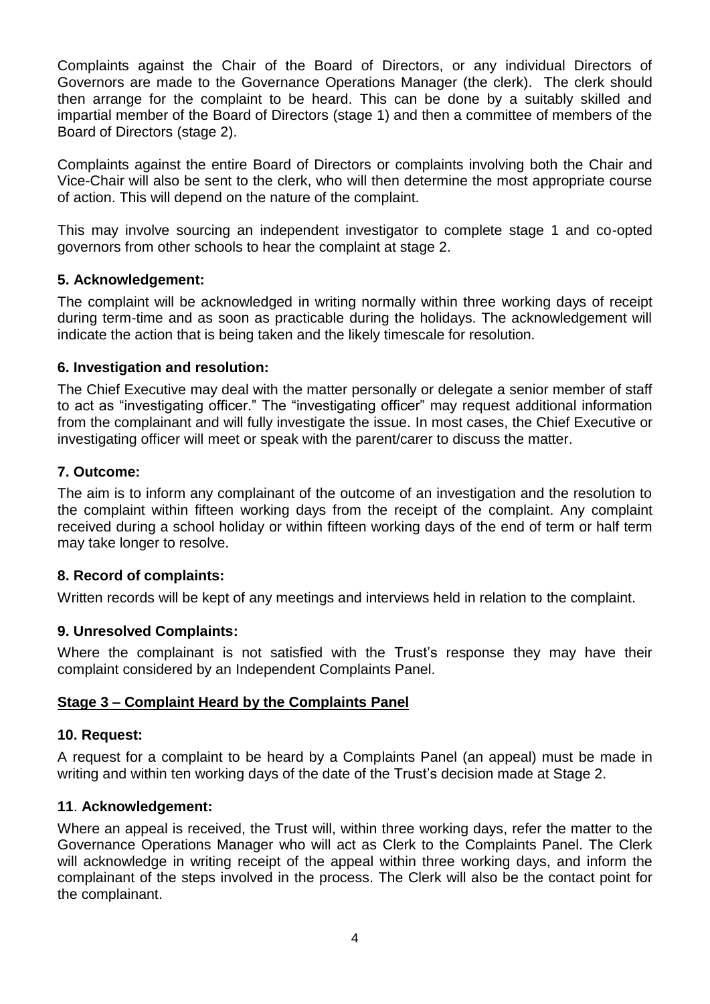Complaints against the Chair of the Board of Directors, or any individual Directors of Governors are made to the Governance Operations Manager (the clerk). The clerk should then arrange for the complaint to be heard. This can be done by a suitably skilled and impartial member of the Board of Directors (stage 1) and then a committee of members of the Board of Directors (stage 2).

Complaints against the entire Board of Directors or complaints involving both the Chair and Vice-Chair will also be sent to the clerk, who will then determine the most appropriate course of action. This will depend on the nature of the complaint.

This may involve sourcing an independent investigator to complete stage 1 and co-opted governors from other schools to hear the complaint at stage 2.

#### **5. Acknowledgement:**

The complaint will be acknowledged in writing normally within three working days of receipt during term-time and as soon as practicable during the holidays. The acknowledgement will indicate the action that is being taken and the likely timescale for resolution.

#### **6. Investigation and resolution:**

The Chief Executive may deal with the matter personally or delegate a senior member of staff to act as "investigating officer." The "investigating officer" may request additional information from the complainant and will fully investigate the issue. In most cases, the Chief Executive or investigating officer will meet or speak with the parent/carer to discuss the matter.

#### **7. Outcome:**

The aim is to inform any complainant of the outcome of an investigation and the resolution to the complaint within fifteen working days from the receipt of the complaint. Any complaint received during a school holiday or within fifteen working days of the end of term or half term may take longer to resolve.

# **8. Record of complaints:**

Written records will be kept of any meetings and interviews held in relation to the complaint.

#### **9. Unresolved Complaints:**

Where the complainant is not satisfied with the Trust's response they may have their complaint considered by an Independent Complaints Panel.

#### **Stage 3 – Complaint Heard by the Complaints Panel**

#### **10. Request:**

A request for a complaint to be heard by a Complaints Panel (an appeal) must be made in writing and within ten working days of the date of the Trust's decision made at Stage 2.

#### **11**. **Acknowledgement:**

Where an appeal is received, the Trust will, within three working days, refer the matter to the Governance Operations Manager who will act as Clerk to the Complaints Panel. The Clerk will acknowledge in writing receipt of the appeal within three working days, and inform the complainant of the steps involved in the process. The Clerk will also be the contact point for the complainant.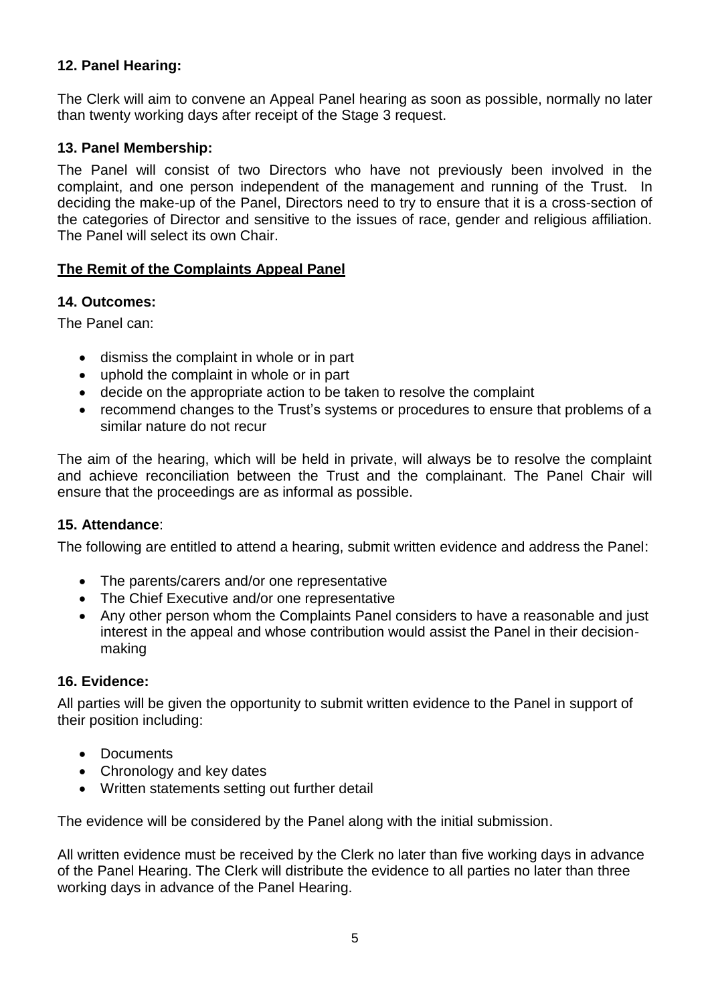# **12. Panel Hearing:**

The Clerk will aim to convene an Appeal Panel hearing as soon as possible, normally no later than twenty working days after receipt of the Stage 3 request.

#### **13. Panel Membership:**

The Panel will consist of two Directors who have not previously been involved in the complaint, and one person independent of the management and running of the Trust. In deciding the make-up of the Panel, Directors need to try to ensure that it is a cross-section of the categories of Director and sensitive to the issues of race, gender and religious affiliation. The Panel will select its own Chair.

# **The Remit of the Complaints Appeal Panel**

#### **14. Outcomes:**

The Panel can:

- dismiss the complaint in whole or in part
- uphold the complaint in whole or in part
- decide on the appropriate action to be taken to resolve the complaint
- recommend changes to the Trust's systems or procedures to ensure that problems of a similar nature do not recur

The aim of the hearing, which will be held in private, will always be to resolve the complaint and achieve reconciliation between the Trust and the complainant. The Panel Chair will ensure that the proceedings are as informal as possible.

#### **15. Attendance**:

The following are entitled to attend a hearing, submit written evidence and address the Panel:

- The parents/carers and/or one representative
- The Chief Executive and/or one representative
- Any other person whom the Complaints Panel considers to have a reasonable and just interest in the appeal and whose contribution would assist the Panel in their decisionmaking

# **16. Evidence:**

All parties will be given the opportunity to submit written evidence to the Panel in support of their position including:

- Documents
- Chronology and key dates
- Written statements setting out further detail

The evidence will be considered by the Panel along with the initial submission.

All written evidence must be received by the Clerk no later than five working days in advance of the Panel Hearing. The Clerk will distribute the evidence to all parties no later than three working days in advance of the Panel Hearing.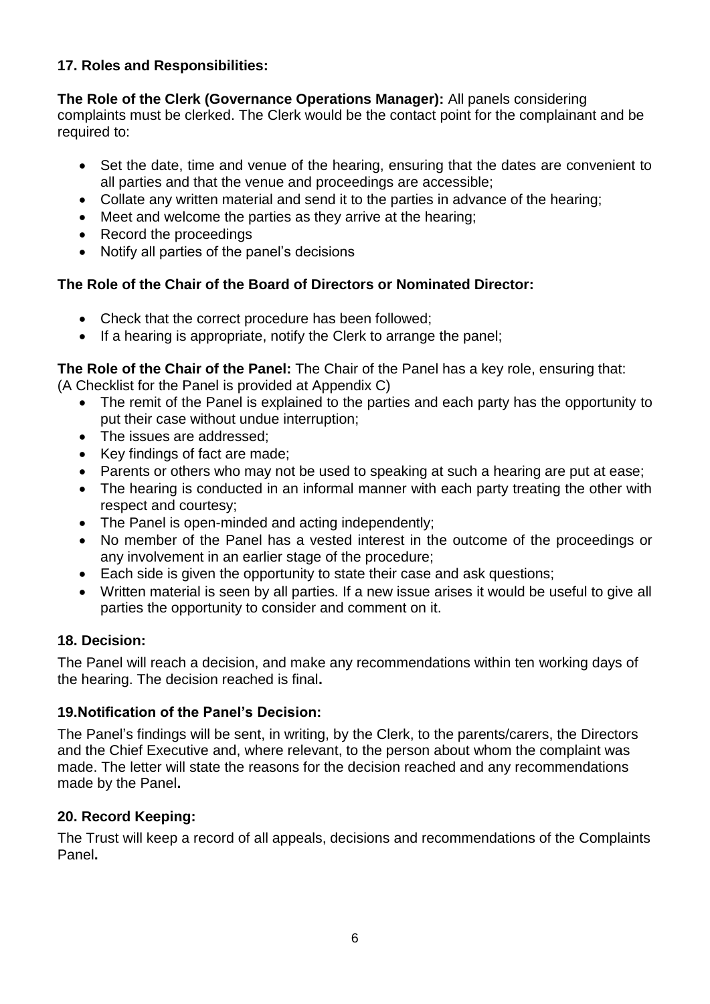# **17. Roles and Responsibilities:**

**The Role of the Clerk (Governance Operations Manager):** All panels considering complaints must be clerked. The Clerk would be the contact point for the complainant and be required to:

- Set the date, time and venue of the hearing, ensuring that the dates are convenient to all parties and that the venue and proceedings are accessible;
- Collate any written material and send it to the parties in advance of the hearing;
- Meet and welcome the parties as they arrive at the hearing;
- Record the proceedings
- Notify all parties of the panel's decisions

# **The Role of the Chair of the Board of Directors or Nominated Director:**

- Check that the correct procedure has been followed;
- If a hearing is appropriate, notify the Clerk to arrange the panel:

**The Role of the Chair of the Panel:** The Chair of the Panel has a key role, ensuring that: (A Checklist for the Panel is provided at Appendix C)

- The remit of the Panel is explained to the parties and each party has the opportunity to put their case without undue interruption;
- The issues are addressed;
- Key findings of fact are made:
- Parents or others who may not be used to speaking at such a hearing are put at ease;
- The hearing is conducted in an informal manner with each party treating the other with respect and courtesy;
- The Panel is open-minded and acting independently;
- No member of the Panel has a vested interest in the outcome of the proceedings or any involvement in an earlier stage of the procedure;
- Each side is given the opportunity to state their case and ask questions;
- Written material is seen by all parties. If a new issue arises it would be useful to give all parties the opportunity to consider and comment on it.

# **18. Decision:**

The Panel will reach a decision, and make any recommendations within ten working days of the hearing. The decision reached is final**.**

# **19.Notification of the Panel's Decision:**

The Panel's findings will be sent, in writing, by the Clerk, to the parents/carers, the Directors and the Chief Executive and, where relevant, to the person about whom the complaint was made. The letter will state the reasons for the decision reached and any recommendations made by the Panel**.**

# **20. Record Keeping:**

The Trust will keep a record of all appeals, decisions and recommendations of the Complaints Panel**.**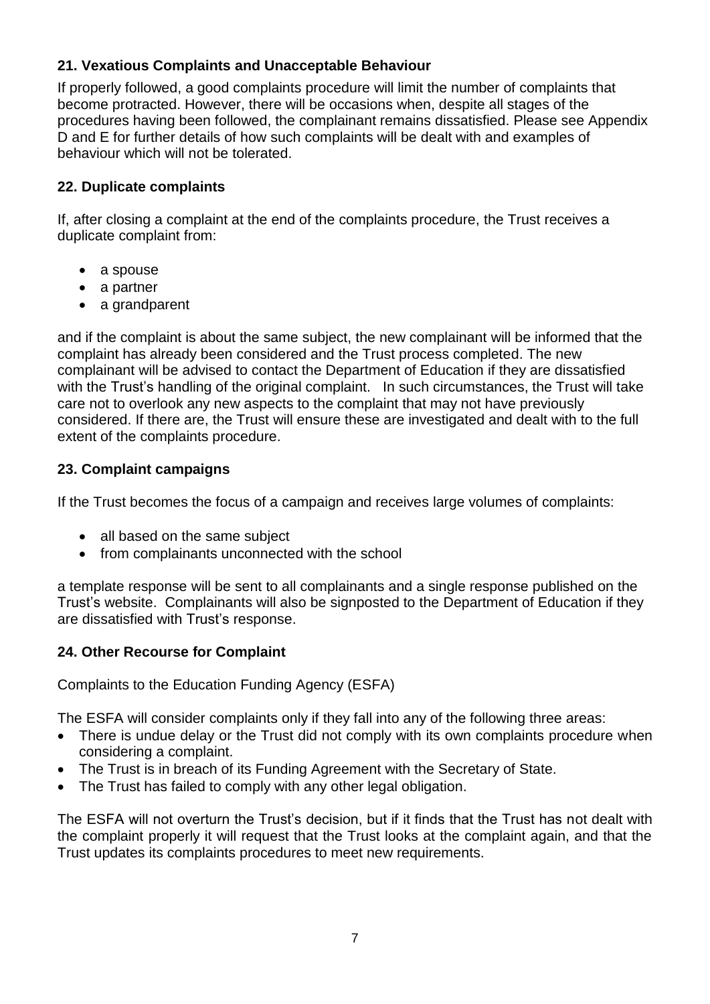# **21. Vexatious Complaints and Unacceptable Behaviour**

If properly followed, a good complaints procedure will limit the number of complaints that become protracted. However, there will be occasions when, despite all stages of the procedures having been followed, the complainant remains dissatisfied. Please see Appendix D and E for further details of how such complaints will be dealt with and examples of behaviour which will not be tolerated.

# **22. Duplicate complaints**

If, after closing a complaint at the end of the complaints procedure, the Trust receives a duplicate complaint from:

- a spouse
- a partner
- a grandparent

and if the complaint is about the same subject, the new complainant will be informed that the complaint has already been considered and the Trust process completed. The new complainant will be advised to contact the Department of Education if they are dissatisfied with the Trust's handling of the original complaint. In such circumstances, the Trust will take care not to overlook any new aspects to the complaint that may not have previously considered. If there are, the Trust will ensure these are investigated and dealt with to the full extent of the complaints procedure.

# **23. Complaint campaigns**

If the Trust becomes the focus of a campaign and receives large volumes of complaints:

- all based on the same subject
- from complainants unconnected with the school

a template response will be sent to all complainants and a single response published on the Trust's website. Complainants will also be signposted to the Department of Education if they are dissatisfied with Trust's response.

# **24. Other Recourse for Complaint**

Complaints to the Education Funding Agency (ESFA)

The ESFA will consider complaints only if they fall into any of the following three areas:

- There is undue delay or the Trust did not comply with its own complaints procedure when considering a complaint.
- The Trust is in breach of its Funding Agreement with the Secretary of State.
- The Trust has failed to comply with any other legal obligation.

The ESFA will not overturn the Trust's decision, but if it finds that the Trust has not dealt with the complaint properly it will request that the Trust looks at the complaint again, and that the Trust updates its complaints procedures to meet new requirements.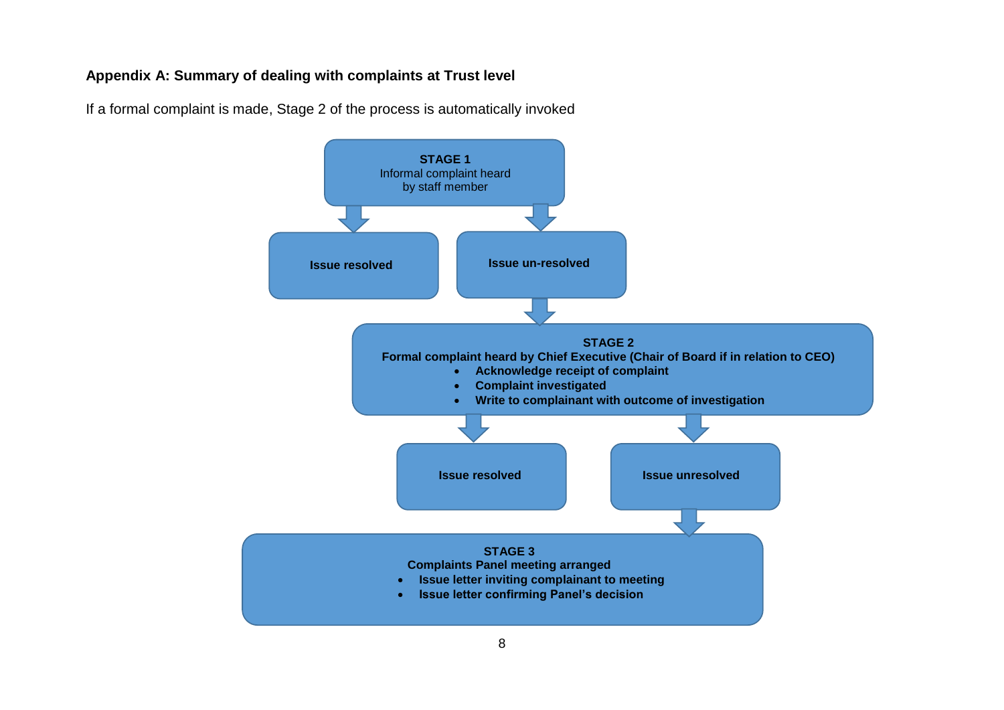#### **Appendix A: Summary of dealing with complaints at Trust level**



If a formal complaint is made, Stage 2 of the process is automatically invoked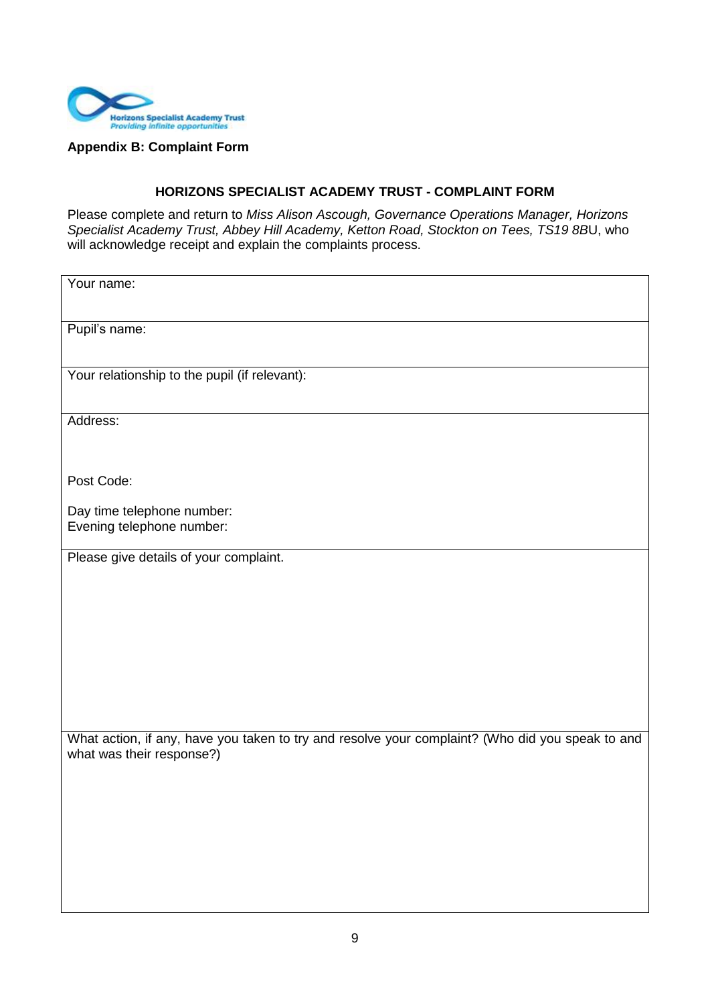

**Appendix B: Complaint Form**

#### **HORIZONS SPECIALIST ACADEMY TRUST - COMPLAINT FORM**

Please complete and return to *Miss Alison Ascough, Governance Operations Manager, Horizons Specialist Academy Trust, Abbey Hill Academy, Ketton Road, Stockton on Tees, TS19 8B*U, who will acknowledge receipt and explain the complaints process.

| Your name:                                                                                       |
|--------------------------------------------------------------------------------------------------|
|                                                                                                  |
| Pupil's name:                                                                                    |
|                                                                                                  |
|                                                                                                  |
| Your relationship to the pupil (if relevant):                                                    |
|                                                                                                  |
|                                                                                                  |
| Address:                                                                                         |
|                                                                                                  |
|                                                                                                  |
| Post Code:                                                                                       |
|                                                                                                  |
| Day time telephone number:                                                                       |
| Evening telephone number:                                                                        |
|                                                                                                  |
| Please give details of your complaint.                                                           |
|                                                                                                  |
|                                                                                                  |
|                                                                                                  |
|                                                                                                  |
|                                                                                                  |
|                                                                                                  |
|                                                                                                  |
|                                                                                                  |
|                                                                                                  |
|                                                                                                  |
| What action, if any, have you taken to try and resolve your complaint? (Who did you speak to and |
| what was their response?)                                                                        |
|                                                                                                  |
|                                                                                                  |
|                                                                                                  |
|                                                                                                  |
|                                                                                                  |
|                                                                                                  |
|                                                                                                  |
|                                                                                                  |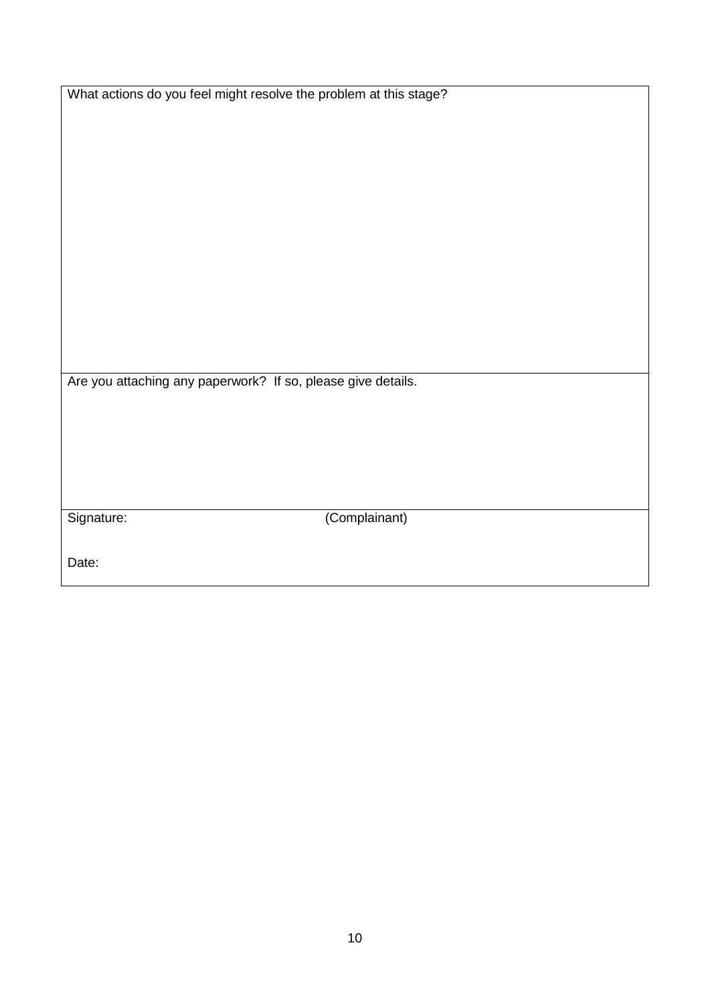| What actions do you feel might resolve the problem at this stage? |               |  |
|-------------------------------------------------------------------|---------------|--|
|                                                                   |               |  |
|                                                                   |               |  |
|                                                                   |               |  |
|                                                                   |               |  |
|                                                                   |               |  |
|                                                                   |               |  |
|                                                                   |               |  |
|                                                                   |               |  |
|                                                                   |               |  |
|                                                                   |               |  |
|                                                                   |               |  |
|                                                                   |               |  |
|                                                                   |               |  |
|                                                                   |               |  |
|                                                                   |               |  |
|                                                                   |               |  |
|                                                                   |               |  |
|                                                                   |               |  |
|                                                                   |               |  |
| Are you attaching any paperwork? If so, please give details.      |               |  |
|                                                                   |               |  |
|                                                                   |               |  |
|                                                                   |               |  |
|                                                                   |               |  |
|                                                                   |               |  |
|                                                                   |               |  |
|                                                                   |               |  |
|                                                                   |               |  |
|                                                                   |               |  |
| Signature:                                                        | (Complainant) |  |
|                                                                   |               |  |
|                                                                   |               |  |
| Date:                                                             |               |  |
|                                                                   |               |  |
|                                                                   |               |  |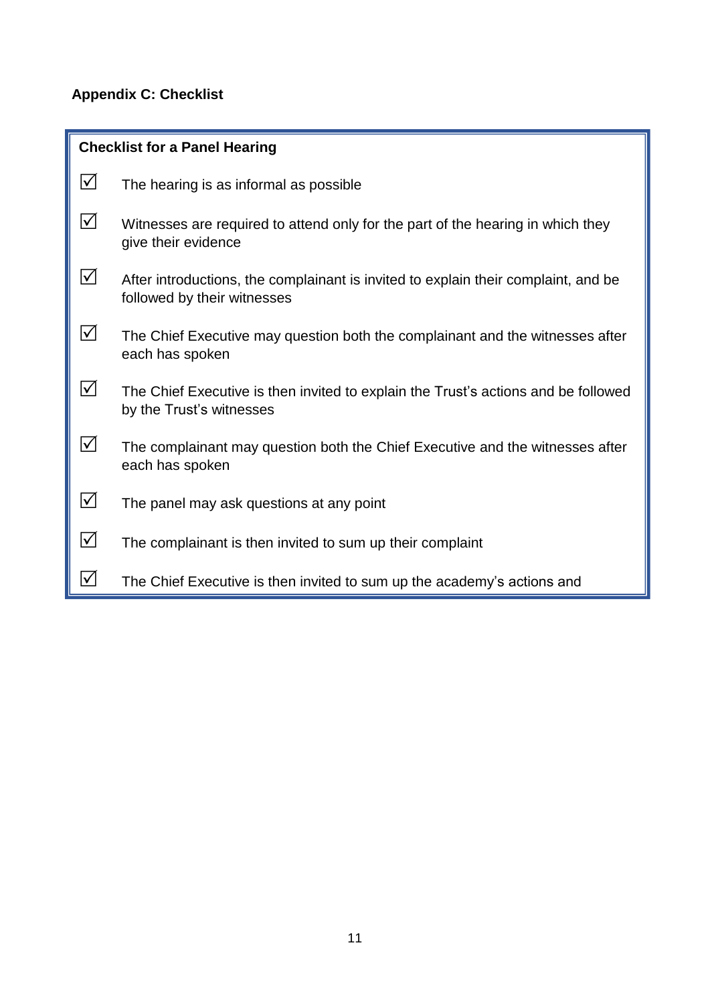# **Appendix C: Checklist**

| <b>Checklist for a Panel Hearing</b> |                                                                                                                   |  |
|--------------------------------------|-------------------------------------------------------------------------------------------------------------------|--|
| $\Delta$                             | The hearing is as informal as possible                                                                            |  |
| $\Delta$                             | Witnesses are required to attend only for the part of the hearing in which they<br>give their evidence            |  |
| $\Delta$                             | After introductions, the complainant is invited to explain their complaint, and be<br>followed by their witnesses |  |
| ⊻                                    | The Chief Executive may question both the complainant and the witnesses after<br>each has spoken                  |  |
| $\Delta$                             | The Chief Executive is then invited to explain the Trust's actions and be followed<br>by the Trust's witnesses    |  |
| $\triangledown$                      | The complainant may question both the Chief Executive and the witnesses after<br>each has spoken                  |  |
| $\Delta$                             | The panel may ask questions at any point                                                                          |  |
| $\Delta$                             | The complainant is then invited to sum up their complaint                                                         |  |
| $ \!\sqrt{}$                         | The Chief Executive is then invited to sum up the academy's actions and                                           |  |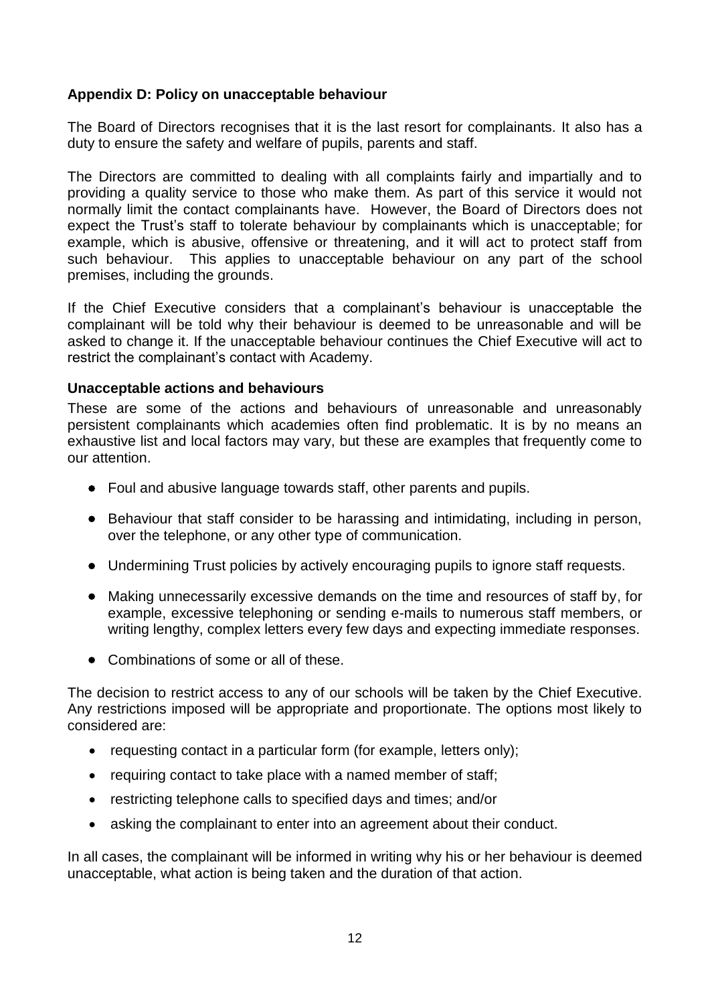#### **Appendix D: Policy on unacceptable behaviour**

The Board of Directors recognises that it is the last resort for complainants. It also has a duty to ensure the safety and welfare of pupils, parents and staff.

The Directors are committed to dealing with all complaints fairly and impartially and to providing a quality service to those who make them. As part of this service it would not normally limit the contact complainants have. However, the Board of Directors does not expect the Trust's staff to tolerate behaviour by complainants which is unacceptable; for example, which is abusive, offensive or threatening, and it will act to protect staff from such behaviour. This applies to unacceptable behaviour on any part of the school premises, including the grounds.

If the Chief Executive considers that a complainant's behaviour is unacceptable the complainant will be told why their behaviour is deemed to be unreasonable and will be asked to change it. If the unacceptable behaviour continues the Chief Executive will act to restrict the complainant's contact with Academy.

#### **Unacceptable actions and behaviours**

These are some of the actions and behaviours of unreasonable and unreasonably persistent complainants which academies often find problematic. It is by no means an exhaustive list and local factors may vary, but these are examples that frequently come to our attention.

- Foul and abusive language towards staff, other parents and pupils.
- Behaviour that staff consider to be harassing and intimidating, including in person, over the telephone, or any other type of communication.
- Undermining Trust policies by actively encouraging pupils to ignore staff requests.
- Making unnecessarily excessive demands on the time and resources of staff by, for example, excessive telephoning or sending e-mails to numerous staff members, or writing lengthy, complex letters every few days and expecting immediate responses.
- Combinations of some or all of these.

The decision to restrict access to any of our schools will be taken by the Chief Executive. Any restrictions imposed will be appropriate and proportionate. The options most likely to considered are:

- requesting contact in a particular form (for example, letters only);
- requiring contact to take place with a named member of staff;
- restricting telephone calls to specified days and times; and/or
- asking the complainant to enter into an agreement about their conduct.

In all cases, the complainant will be informed in writing why his or her behaviour is deemed unacceptable, what action is being taken and the duration of that action.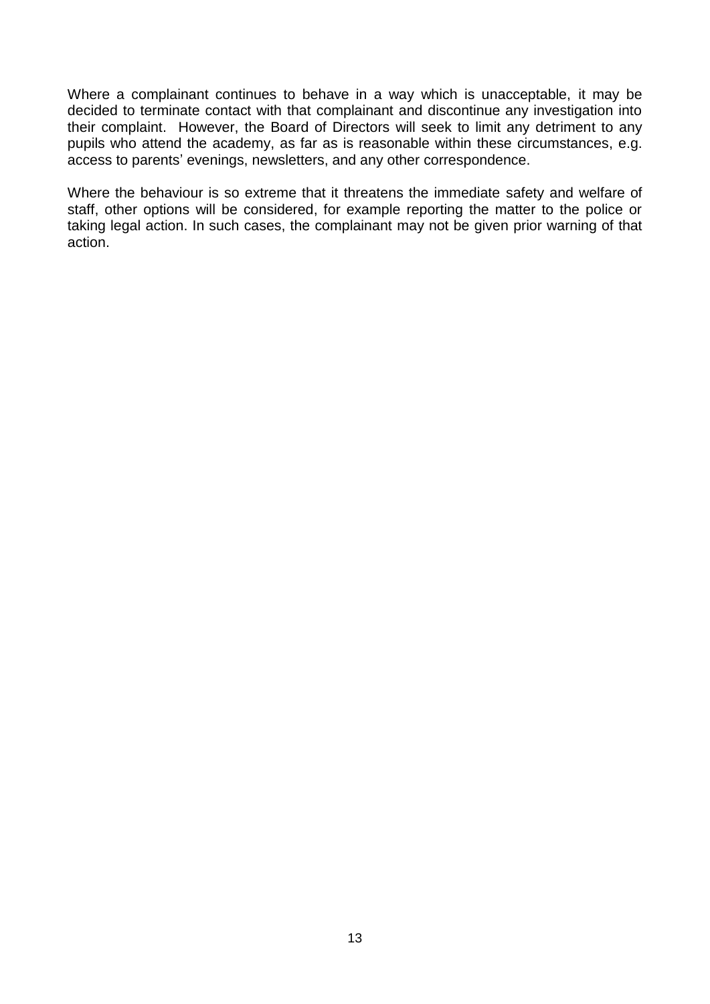Where a complainant continues to behave in a way which is unacceptable, it may be decided to terminate contact with that complainant and discontinue any investigation into their complaint. However, the Board of Directors will seek to limit any detriment to any pupils who attend the academy, as far as is reasonable within these circumstances, e.g. access to parents' evenings, newsletters, and any other correspondence.

Where the behaviour is so extreme that it threatens the immediate safety and welfare of staff, other options will be considered, for example reporting the matter to the police or taking legal action. In such cases, the complainant may not be given prior warning of that action.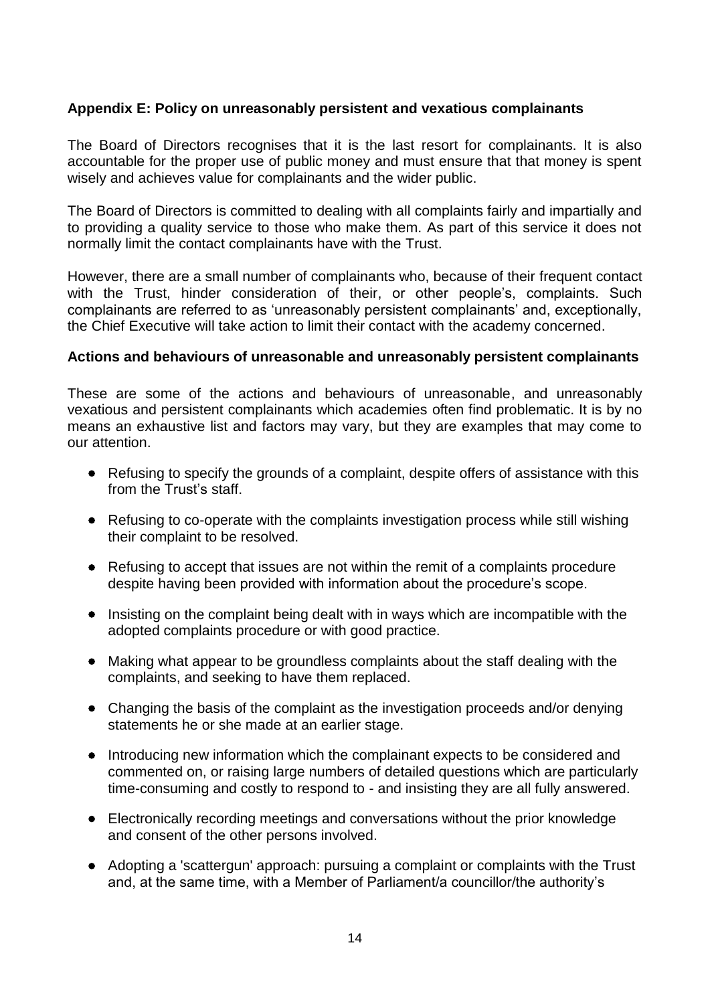#### **Appendix E: Policy on unreasonably persistent and vexatious complainants**

The Board of Directors recognises that it is the last resort for complainants. It is also accountable for the proper use of public money and must ensure that that money is spent wisely and achieves value for complainants and the wider public.

The Board of Directors is committed to dealing with all complaints fairly and impartially and to providing a quality service to those who make them. As part of this service it does not normally limit the contact complainants have with the Trust.

However, there are a small number of complainants who, because of their frequent contact with the Trust, hinder consideration of their, or other people's, complaints. Such complainants are referred to as 'unreasonably persistent complainants' and, exceptionally, the Chief Executive will take action to limit their contact with the academy concerned.

#### **Actions and behaviours of unreasonable and unreasonably persistent complainants**

These are some of the actions and behaviours of unreasonable, and unreasonably vexatious and persistent complainants which academies often find problematic. It is by no means an exhaustive list and factors may vary, but they are examples that may come to our attention.

- Refusing to specify the grounds of a complaint, despite offers of assistance with this from the Trust's staff.
- Refusing to co-operate with the complaints investigation process while still wishing their complaint to be resolved.
- Refusing to accept that issues are not within the remit of a complaints procedure despite having been provided with information about the procedure's scope.
- Insisting on the complaint being dealt with in ways which are incompatible with the adopted complaints procedure or with good practice.
- Making what appear to be groundless complaints about the staff dealing with the complaints, and seeking to have them replaced.
- Changing the basis of the complaint as the investigation proceeds and/or denying statements he or she made at an earlier stage.
- Introducing new information which the complainant expects to be considered and commented on, or raising large numbers of detailed questions which are particularly time-consuming and costly to respond to - and insisting they are all fully answered.
- Electronically recording meetings and conversations without the prior knowledge and consent of the other persons involved.
- Adopting a 'scattergun' approach: pursuing a complaint or complaints with the Trust and, at the same time, with a Member of Parliament/a councillor/the authority's